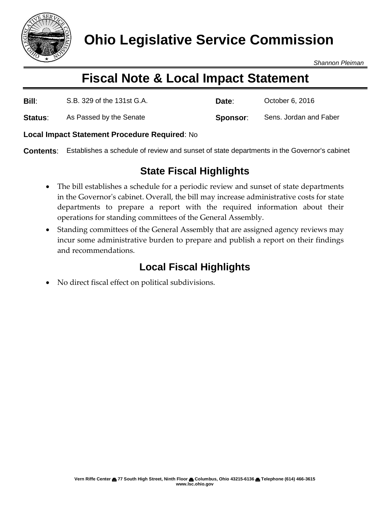

*Shannon Pleiman*

# **Fiscal Note & Local Impact Statement**

| Bill:          | S.B. 329 of the 131st G.A. | Date:    | October 6, 2016        |
|----------------|----------------------------|----------|------------------------|
| <b>Status:</b> | As Passed by the Senate    | Sponsor: | Sens. Jordan and Faber |

#### **Local Impact Statement Procedure Required**: No

**Contents**: Establishes a schedule of review and sunset of state departments in the Governor's cabinet

### **State Fiscal Highlights**

- The bill establishes a schedule for a periodic review and sunset of state departments in the Governor's cabinet. Overall, the bill may increase administrative costs for state departments to prepare a report with the required information about their operations for standing committees of the General Assembly.
- Standing committees of the General Assembly that are assigned agency reviews may incur some administrative burden to prepare and publish a report on their findings and recommendations.

## **Local Fiscal Highlights**

No direct fiscal effect on political subdivisions.